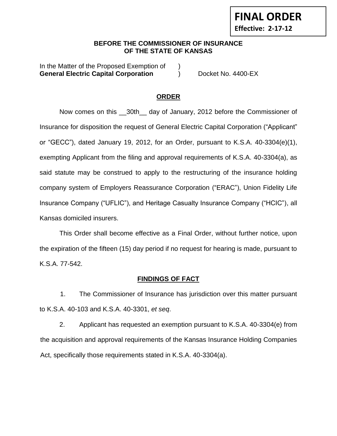## **BEFORE THE COMMISSIONER OF INSURANCE OF THE STATE OF KANSAS**

In the Matter of the Proposed Exemption of **General Electric Capital Corporation** (a) Docket No. 4400-EX

**FINAL ORDER**

**Effective: 2-17-12**

## **ORDER**

Now comes on this \_\_30th\_\_ day of January, 2012 before the Commissioner of Insurance for disposition the request of General Electric Capital Corporation ("Applicant" or "GECC"), dated January 19, 2012, for an Order, pursuant to K.S.A. 40-3304(e)(1), exempting Applicant from the filing and approval requirements of K.S.A. 40-3304(a), as said statute may be construed to apply to the restructuring of the insurance holding company system of Employers Reassurance Corporation ("ERAC"), Union Fidelity Life Insurance Company ("UFLIC"), and Heritage Casualty Insurance Company ("HCIC"), all Kansas domiciled insurers.

This Order shall become effective as a Final Order, without further notice, upon the expiration of the fifteen (15) day period if no request for hearing is made, pursuant to K.S.A. 77-542.

## **FINDINGS OF FACT**

1. The Commissioner of Insurance has jurisdiction over this matter pursuant to K.S.A. 40-103 and K.S.A. 40-3301, *et seq*.

2. Applicant has requested an exemption pursuant to K.S.A. 40-3304(e) from the acquisition and approval requirements of the Kansas Insurance Holding Companies Act, specifically those requirements stated in K.S.A. 40-3304(a).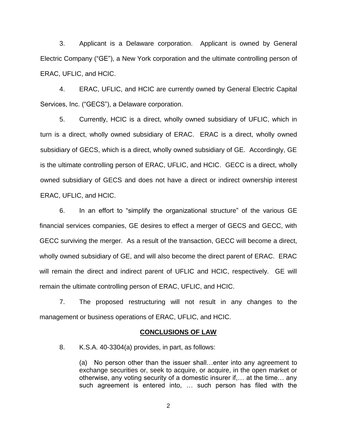3. Applicant is a Delaware corporation. Applicant is owned by General Electric Company ("GE"), a New York corporation and the ultimate controlling person of ERAC, UFLIC, and HCIC.

4. ERAC, UFLIC, and HCIC are currently owned by General Electric Capital Services, Inc. ("GECS"), a Delaware corporation.

5. Currently, HCIC is a direct, wholly owned subsidiary of UFLIC, which in turn is a direct, wholly owned subsidiary of ERAC. ERAC is a direct, wholly owned subsidiary of GECS, which is a direct, wholly owned subsidiary of GE. Accordingly, GE is the ultimate controlling person of ERAC, UFLIC, and HCIC. GECC is a direct, wholly owned subsidiary of GECS and does not have a direct or indirect ownership interest ERAC, UFLIC, and HCIC.

6. In an effort to "simplify the organizational structure" of the various GE financial services companies, GE desires to effect a merger of GECS and GECC, with GECC surviving the merger. As a result of the transaction, GECC will become a direct, wholly owned subsidiary of GE, and will also become the direct parent of ERAC. ERAC will remain the direct and indirect parent of UFLIC and HCIC, respectively. GE will remain the ultimate controlling person of ERAC, UFLIC, and HCIC.

7. The proposed restructuring will not result in any changes to the management or business operations of ERAC, UFLIC, and HCIC.

#### **CONCLUSIONS OF LAW**

8. K.S.A. 40-3304(a) provides, in part, as follows:

(a) No person other than the issuer shall…enter into any agreement to exchange securities or, seek to acquire, or acquire, in the open market or otherwise, any voting security of a domestic insurer if,… at the time… any such agreement is entered into, … such person has filed with the

2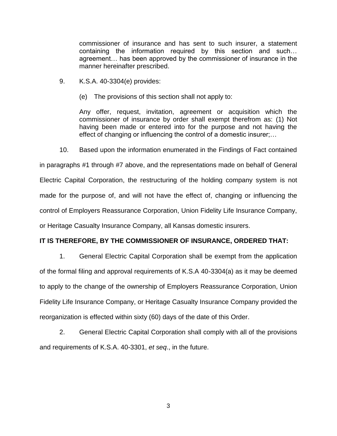commissioner of insurance and has sent to such insurer, a statement containing the information required by this section and such… agreement… has been approved by the commissioner of insurance in the manner hereinafter prescribed.

- 9. K.S.A. 40-3304(e) provides:
	- (e) The provisions of this section shall not apply to:

Any offer, request, invitation, agreement or acquisition which the commissioner of insurance by order shall exempt therefrom as: (1) Not having been made or entered into for the purpose and not having the effect of changing or influencing the control of a domestic insurer;…

10. Based upon the information enumerated in the Findings of Fact contained

in paragraphs #1 through #7 above, and the representations made on behalf of General Electric Capital Corporation, the restructuring of the holding company system is not made for the purpose of, and will not have the effect of, changing or influencing the control of Employers Reassurance Corporation, Union Fidelity Life Insurance Company, or Heritage Casualty Insurance Company, all Kansas domestic insurers.

#### **IT IS THEREFORE, BY THE COMMISSIONER OF INSURANCE, ORDERED THAT:**

1. General Electric Capital Corporation shall be exempt from the application of the formal filing and approval requirements of K.S.A 40-3304(a) as it may be deemed to apply to the change of the ownership of Employers Reassurance Corporation, Union Fidelity Life Insurance Company, or Heritage Casualty Insurance Company provided the reorganization is effected within sixty (60) days of the date of this Order.

2. General Electric Capital Corporation shall comply with all of the provisions and requirements of K.S.A. 40-3301, *et seq*., in the future.

3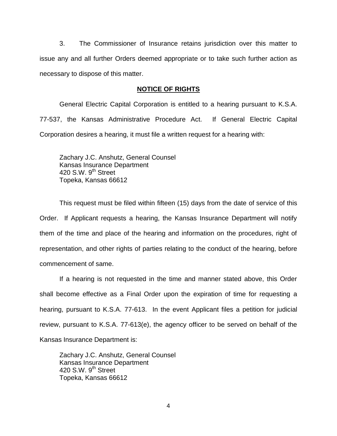3. The Commissioner of Insurance retains jurisdiction over this matter to issue any and all further Orders deemed appropriate or to take such further action as necessary to dispose of this matter.

## **NOTICE OF RIGHTS**

General Electric Capital Corporation is entitled to a hearing pursuant to K.S.A. 77-537, the Kansas Administrative Procedure Act. If General Electric Capital Corporation desires a hearing, it must file a written request for a hearing with:

Zachary J.C. Anshutz, General Counsel Kansas Insurance Department 420 S.W. 9<sup>th</sup> Street Topeka, Kansas 66612

This request must be filed within fifteen (15) days from the date of service of this Order. If Applicant requests a hearing, the Kansas Insurance Department will notify them of the time and place of the hearing and information on the procedures, right of representation, and other rights of parties relating to the conduct of the hearing, before commencement of same.

If a hearing is not requested in the time and manner stated above, this Order shall become effective as a Final Order upon the expiration of time for requesting a hearing, pursuant to K.S.A. 77-613. In the event Applicant files a petition for judicial review, pursuant to K.S.A. 77-613(e), the agency officer to be served on behalf of the Kansas Insurance Department is:

Zachary J.C. Anshutz, General Counsel Kansas Insurance Department 420 S.W.  $9^{th}$  Street Topeka, Kansas 66612